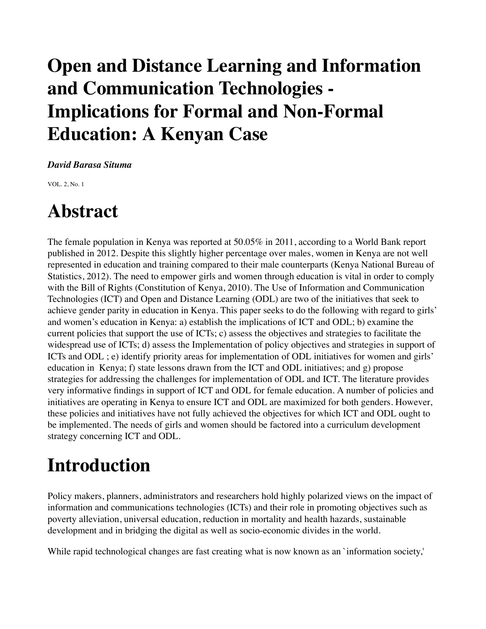## **Open and Distance Learning and Information and Communication Technologies - Implications for Formal and Non-Formal Education: A Kenyan Case**

#### *David Barasa Situma*

VOL. 2, No. 1

### **Abstract**

The female population in Kenya was reported at 50.05% in 2011, according to a World Bank report published in 2012. Despite this slightly higher percentage over males, women in Kenya are not well represented in education and training compared to their male counterparts (Kenya National Bureau of Statistics, 2012). The need to empower girls and women through education is vital in order to comply with the Bill of Rights (Constitution of Kenya, 2010). The Use of Information and Communication Technologies (ICT) and Open and Distance Learning (ODL) are two of the initiatives that seek to achieve gender parity in education in Kenya. This paper seeks to do the following with regard to girls' and women's education in Kenya: a) establish the implications of ICT and ODL; b) examine the current policies that support the use of ICTs; c) assess the objectives and strategies to facilitate the widespread use of ICTs; d) assess the Implementation of policy objectives and strategies in support of ICTs and ODL ; e) identify priority areas for implementation of ODL initiatives for women and girls' education in Kenya; f) state lessons drawn from the ICT and ODL initiatives; and g) propose strategies for addressing the challenges for implementation of ODL and ICT. The literature provides very informative findings in support of ICT and ODL for female education. A number of policies and initiatives are operating in Kenya to ensure ICT and ODL are maximized for both genders. However, these policies and initiatives have not fully achieved the objectives for which ICT and ODL ought to be implemented. The needs of girls and women should be factored into a curriculum development strategy concerning ICT and ODL.

### **Introduction**

Policy makers, planners, administrators and researchers hold highly polarized views on the impact of information and communications technologies (ICTs) and their role in promoting objectives such as poverty alleviation, universal education, reduction in mortality and health hazards, sustainable development and in bridging the digital as well as socio-economic divides in the world.

While rapid technological changes are fast creating what is now known as an `information society,'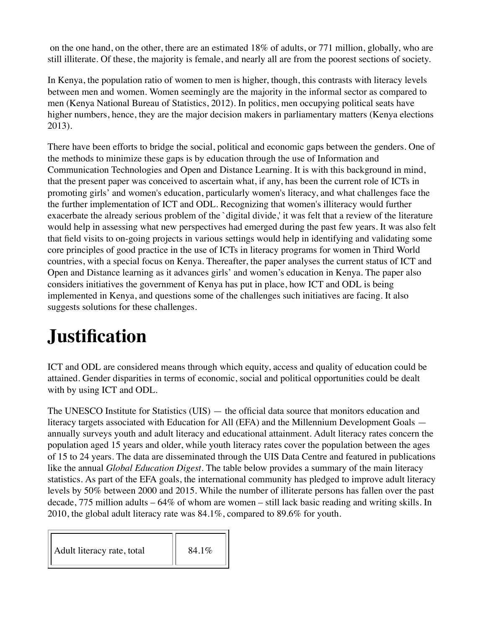on the one hand, on the other, there are an estimated 18% of adults, or 771 million, globally, who are still illiterate. Of these, the majority is female, and nearly all are from the poorest sections of society.

In Kenya, the population ratio of women to men is higher, though, this contrasts with literacy levels between men and women. Women seemingly are the majority in the informal sector as compared to men (Kenya National Bureau of Statistics, 2012). In politics, men occupying political seats have higher numbers, hence, they are the major decision makers in parliamentary matters (Kenya elections 2013).

There have been efforts to bridge the social, political and economic gaps between the genders. One of the methods to minimize these gaps is by education through the use of Information and Communication Technologies and Open and Distance Learning. It is with this background in mind, that the present paper was conceived to ascertain what, if any, has been the current role of ICTs in promoting girls' and women's education, particularly women's literacy, and what challenges face the the further implementation of ICT and ODL. Recognizing that women's illiteracy would further exacerbate the already serious problem of the `digital divide,' it was felt that a review of the literature would help in assessing what new perspectives had emerged during the past few years. It was also felt that field visits to on-going projects in various settings would help in identifying and validating some core principles of good practice in the use of ICTs in literacy programs for women in Third World countries, with a special focus on Kenya. Thereafter, the paper analyses the current status of ICT and Open and Distance learning as it advances girls' and women's education in Kenya. The paper also considers initiatives the government of Kenya has put in place, how ICT and ODL is being implemented in Kenya, and questions some of the challenges such initiatives are facing. It also suggests solutions for these challenges.

# **Justification**

ICT and ODL are considered means through which equity, access and quality of education could be attained. Gender disparities in terms of economic, social and political opportunities could be dealt with by using ICT and ODL.

The UNESCO Institute for Statistics (UIS) — the official data source that monitors education and literacy targets associated with Education for All (EFA) and the Millennium Development Goals annually surveys youth and adult literacy and educational attainment. Adult literacy rates concern the population aged 15 years and older, while youth literacy rates cover the population between the ages of 15 to 24 years. The data are disseminated through the UIS Data Centre and featured in publications like the annual *Global Education Digest*. The table below provides a summary of the main literacy statistics. As part of the EFA goals, the international community has pledged to improve adult literacy levels by 50% between 2000 and 2015. While the number of illiterate persons has fallen over the past decade, 775 million adults – 64% of whom are women – still lack basic reading and writing skills. In 2010, the global adult literacy rate was 84.1%, compared to 89.6% for youth.

| Adult literacy rate, total | 84.1% |
|----------------------------|-------|
|----------------------------|-------|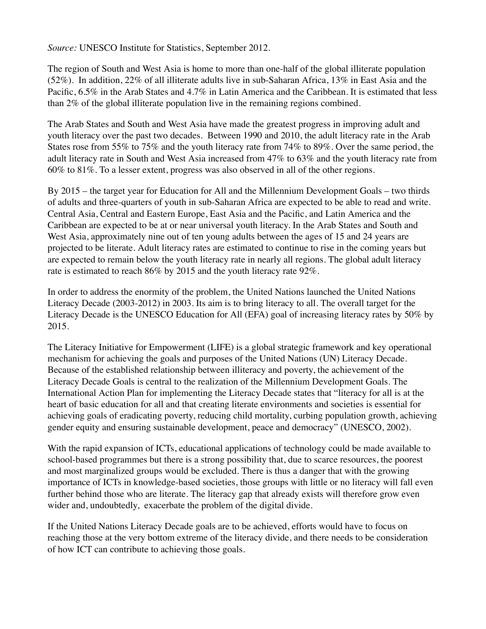*Source:* UNESCO Institute for Statistics, September 2012.

The region of South and West Asia is home to more than one-half of the global illiterate population (52%). In addition, 22% of all illiterate adults live in sub-Saharan Africa, 13% in East Asia and the Pacific, 6.5% in the Arab States and 4.7% in Latin America and the Caribbean. It is estimated that less than 2% of the global illiterate population live in the remaining regions combined.

The Arab States and South and West Asia have made the greatest progress in improving adult and youth literacy over the past two decades. Between 1990 and 2010, the adult literacy rate in the Arab States rose from 55% to 75% and the youth literacy rate from 74% to 89%. Over the same period, the adult literacy rate in South and West Asia increased from 47% to 63% and the youth literacy rate from 60% to 81%. To a lesser extent, progress was also observed in all of the other regions.

By 2015 – the target year for Education for All and the Millennium Development Goals – two thirds of adults and three-quarters of youth in sub-Saharan Africa are expected to be able to read and write. Central Asia, Central and Eastern Europe, East Asia and the Pacific, and Latin America and the Caribbean are expected to be at or near universal youth literacy. In the Arab States and South and West Asia, approximately nine out of ten young adults between the ages of 15 and 24 years are projected to be literate. Adult literacy rates are estimated to continue to rise in the coming years but are expected to remain below the youth literacy rate in nearly all regions. The global adult literacy rate is estimated to reach 86% by 2015 and the youth literacy rate 92%.

In order to address the enormity of the problem, the United Nations launched the United Nations Literacy Decade (2003-2012) in 2003. Its aim is to bring literacy to all. The overall target for the Literacy Decade is the UNESCO Education for All (EFA) goal of increasing literacy rates by 50% by 2015.

The Literacy Initiative for Empowerment (LIFE) is a global strategic framework and key operational mechanism for achieving the goals and purposes of the United Nations (UN) Literacy Decade. Because of the established relationship between illiteracy and poverty, the achievement of the Literacy Decade Goals is central to the realization of the Millennium Development Goals. The International Action Plan for implementing the Literacy Decade states that "literacy for all is at the heart of basic education for all and that creating literate environments and societies is essential for achieving goals of eradicating poverty, reducing child mortality, curbing population growth, achieving gender equity and ensuring sustainable development, peace and democracy" (UNESCO, 2002).

With the rapid expansion of ICTs, educational applications of technology could be made available to school-based programmes but there is a strong possibility that, due to scarce resources, the poorest and most marginalized groups would be excluded. There is thus a danger that with the growing importance of ICTs in knowledge-based societies, those groups with little or no literacy will fall even further behind those who are literate. The literacy gap that already exists will therefore grow even wider and, undoubtedly, exacerbate the problem of the digital divide.

If the United Nations Literacy Decade goals are to be achieved, efforts would have to focus on reaching those at the very bottom extreme of the literacy divide, and there needs to be consideration of how ICT can contribute to achieving those goals.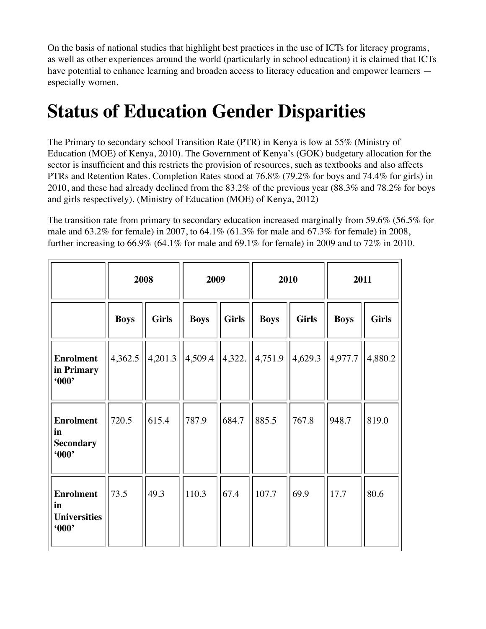On the basis of national studies that highlight best practices in the use of ICTs for literacy programs, as well as other experiences around the world (particularly in school education) it is claimed that ICTs have potential to enhance learning and broaden access to literacy education and empower learners especially women.

## **Status of Education Gender Disparities**

The Primary to secondary school Transition Rate (PTR) in Kenya is low at 55% (Ministry of Education (MOE) of Kenya, 2010). The Government of Kenya's (GOK) budgetary allocation for the sector is insufficient and this restricts the provision of resources, such as textbooks and also affects PTRs and Retention Rates. Completion Rates stood at 76.8% (79.2% for boys and 74.4% for girls) in 2010, and these had already declined from the 83.2% of the previous year (88.3% and 78.2% for boys and girls respectively). (Ministry of Education (MOE) of Kenya, 2012)

The transition rate from primary to secondary education increased marginally from 59.6% (56.5% for male and 63.2% for female) in 2007, to 64.1% (61.3% for male and 67.3% for female) in 2008, further increasing to 66.9% (64.1% for male and 69.1% for female) in 2009 and to 72% in 2010.

|                                                      | 2008        |              | 2009        |              | 2010        |              | 2011        |              |
|------------------------------------------------------|-------------|--------------|-------------|--------------|-------------|--------------|-------------|--------------|
|                                                      | <b>Boys</b> | <b>Girls</b> | <b>Boys</b> | <b>Girls</b> | <b>Boys</b> | <b>Girls</b> | <b>Boys</b> | <b>Girls</b> |
| <b>Enrolment</b><br>in Primary<br>600                | 4,362.5     | 4,201.3      | 4,509.4     | 4,322.       | 4,751.9     | 4,629.3      | 4,977.7     | 4,880.2      |
| <b>Enrolment</b><br>in<br><b>Secondary</b><br>600    | 720.5       | 615.4        | 787.9       | 684.7        | 885.5       | 767.8        | 948.7       | 819.0        |
| <b>Enrolment</b><br>in<br><b>Universities</b><br>600 | 73.5        | 49.3         | 110.3       | 67.4         | 107.7       | 69.9         | 17.7        | 80.6         |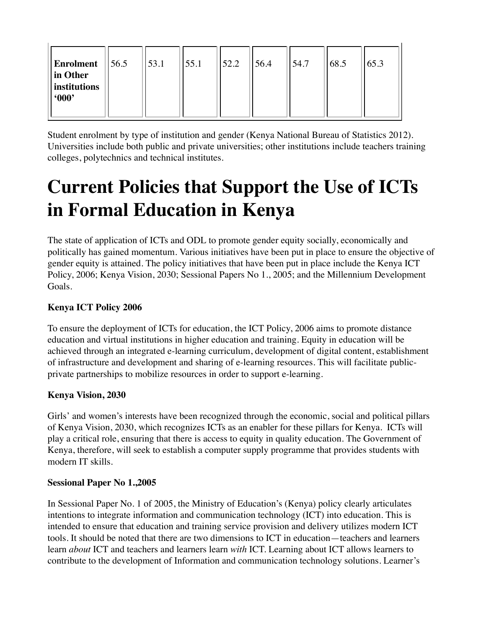| <b>Enrolment</b> $  56.5$<br>in Other<br>institutions<br>600 | 53.1 | 55.1 | 52.2 | 56.4 | 54.7 | 68.5 | 65.3 |
|--------------------------------------------------------------|------|------|------|------|------|------|------|
|                                                              |      |      |      |      |      |      |      |

Student enrolment by type of institution and gender (Kenya National Bureau of Statistics 2012). Universities include both public and private universities; other institutions include teachers training colleges, polytechnics and technical institutes.

## **Current Policies that Support the Use of ICTs in Formal Education in Kenya**

The state of application of ICTs and ODL to promote gender equity socially, economically and politically has gained momentum. Various initiatives have been put in place to ensure the objective of gender equity is attained. The policy initiatives that have been put in place include the Kenya ICT Policy, 2006; Kenya Vision, 2030; Sessional Papers No 1., 2005; and the Millennium Development Goals.

#### **Kenya ICT Policy 2006**

To ensure the deployment of ICTs for education, the ICT Policy, 2006 aims to promote distance education and virtual institutions in higher education and training. Equity in education will be achieved through an integrated e-learning curriculum, development of digital content, establishment of infrastructure and development and sharing of e-learning resources. This will facilitate publicprivate partnerships to mobilize resources in order to support e-learning.

#### **Kenya Vision, 2030**

Girls' and women's interests have been recognized through the economic, social and political pillars of Kenya Vision, 2030, which recognizes ICTs as an enabler for these pillars for Kenya. ICTs will play a critical role, ensuring that there is access to equity in quality education. The Government of Kenya, therefore, will seek to establish a computer supply programme that provides students with modern IT skills.

#### **Sessional Paper No 1.,2005**

In Sessional Paper No. 1 of 2005, the Ministry of Education's (Kenya) policy clearly articulates intentions to integrate information and communication technology (ICT) into education. This is intended to ensure that education and training service provision and delivery utilizes modern ICT tools. It should be noted that there are two dimensions to ICT in education—teachers and learners learn *about* ICT and teachers and learners learn *with* ICT. Learning about ICT allows learners to contribute to the development of Information and communication technology solutions. Learner's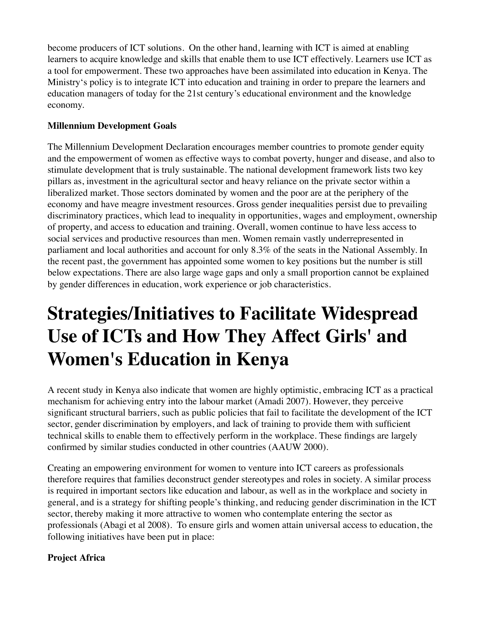become producers of ICT solutions. On the other hand, learning with ICT is aimed at enabling learners to acquire knowledge and skills that enable them to use ICT effectively. Learners use ICT as a tool for empowerment. These two approaches have been assimilated into education in Kenya. The Ministry's policy is to integrate ICT into education and training in order to prepare the learners and education managers of today for the 21st century's educational environment and the knowledge economy.

#### **Millennium Development Goals**

The Millennium Development Declaration encourages member countries to promote gender equity and the empowerment of women as effective ways to combat poverty, hunger and disease, and also to stimulate development that is truly sustainable. The national development framework lists two key pillars as, investment in the agricultural sector and heavy reliance on the private sector within a liberalized market. Those sectors dominated by women and the poor are at the periphery of the economy and have meagre investment resources. Gross gender inequalities persist due to prevailing discriminatory practices, which lead to inequality in opportunities, wages and employment, ownership of property, and access to education and training. Overall, women continue to have less access to social services and productive resources than men. Women remain vastly underrepresented in parliament and local authorities and account for only 8.3% of the seats in the National Assembly. In the recent past, the government has appointed some women to key positions but the number is still below expectations. There are also large wage gaps and only a small proportion cannot be explained by gender differences in education, work experience or job characteristics.

## **Strategies/Initiatives to Facilitate Widespread Use of ICTs and How They Affect Girls' and Women's Education in Kenya**

A recent study in Kenya also indicate that women are highly optimistic, embracing ICT as a practical mechanism for achieving entry into the labour market (Amadi 2007). However, they perceive significant structural barriers, such as public policies that fail to facilitate the development of the ICT sector, gender discrimination by employers, and lack of training to provide them with sufficient technical skills to enable them to effectively perform in the workplace. These findings are largely confirmed by similar studies conducted in other countries (AAUW 2000).

Creating an empowering environment for women to venture into ICT careers as professionals therefore requires that families deconstruct gender stereotypes and roles in society. A similar process is required in important sectors like education and labour, as well as in the workplace and society in general, and is a strategy for shifting people's thinking, and reducing gender discrimination in the ICT sector, thereby making it more attractive to women who contemplate entering the sector as professionals (Abagi et al 2008). To ensure girls and women attain universal access to education, the following initiatives have been put in place:

#### **Project Africa**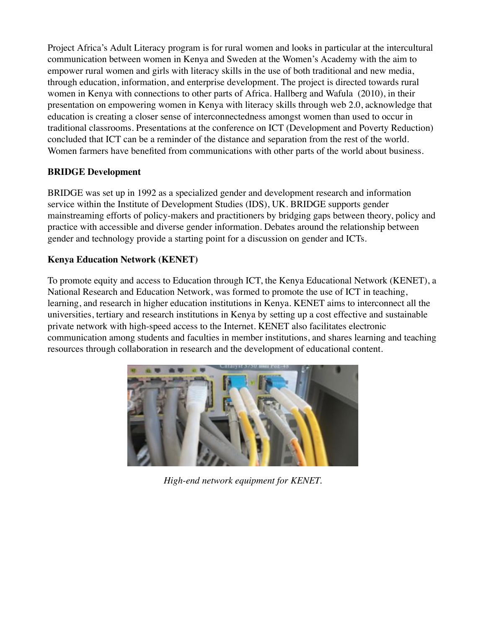Project Africa's Adult Literacy program is for rural women and looks in particular at the intercultural communication between women in Kenya and Sweden at the Women's Academy with the aim to empower rural women and girls with literacy skills in the use of both traditional and new media, through education, information, and enterprise development. The project is directed towards rural women in Kenya with connections to other parts of Africa. Hallberg and Wafula (2010), in their presentation on empowering women in Kenya with literacy skills through web 2.0, acknowledge that education is creating a closer sense of interconnectedness amongst women than used to occur in traditional classrooms. Presentations at the conference on ICT (Development and Poverty Reduction) concluded that ICT can be a reminder of the distance and separation from the rest of the world. Women farmers have benefited from communications with other parts of the world about business.

#### **BRIDGE Development**

BRIDGE was set up in 1992 as a specialized gender and development research and information service within the Institute of Development Studies (IDS), UK. BRIDGE supports gender mainstreaming efforts of policy-makers and practitioners by bridging gaps between theory, policy and practice with accessible and diverse gender information. Debates around the relationship between gender and technology provide a starting point for a discussion on gender and ICTs.

#### **Kenya Education Network (KENET)**

To promote equity and access to Education through ICT, the Kenya Educational Network (KENET), a National Research and Education Network, was formed to promote the use of ICT in teaching, learning, and research in higher education institutions in Kenya. KENET aims to interconnect all the universities, tertiary and research institutions in Kenya by setting up a cost effective and sustainable private network with high-speed access to the Internet. KENET also facilitates electronic communication among students and faculties in member institutions, and shares learning and teaching resources through collaboration in research and the development of educational content.



*High-end network equipment for KENET.*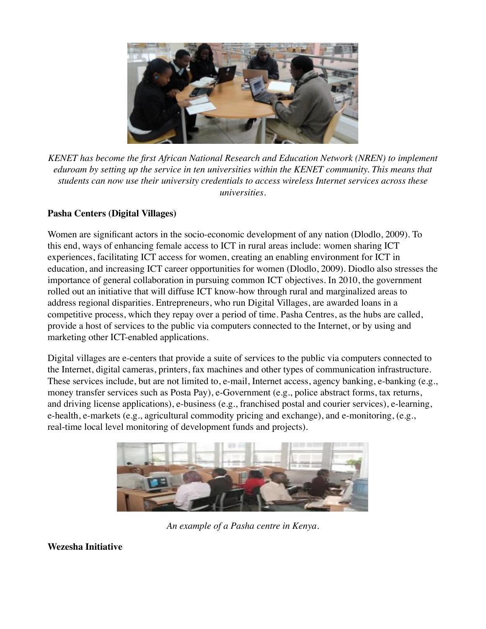

*KENET has become the first African National Research and Education Network (NREN) to implement eduroam by setting up the service in ten universities within the KENET community. This means that students can now use their university credentials to access wireless Internet services across these universities.*

#### **Pasha Centers (Digital Villages)**

Women are significant actors in the socio-economic development of any nation (Dlodlo, 2009). To this end, ways of enhancing female access to ICT in rural areas include: women sharing ICT experiences, facilitating ICT access for women, creating an enabling environment for ICT in education, and increasing ICT career opportunities for women (Dlodlo, 2009). Diodlo also stresses the importance of general collaboration in pursuing common ICT objectives. In 2010, the government rolled out an initiative that will diffuse ICT know-how through rural and marginalized areas to address regional disparities. Entrepreneurs, who run Digital Villages, are awarded loans in a competitive process, which they repay over a period of time. Pasha Centres, as the hubs are called, provide a host of services to the public via computers connected to the Internet, or by using and marketing other ICT-enabled applications.

Digital villages are e-centers that provide a suite of services to the public via computers connected to the Internet, digital cameras, printers, fax machines and other types of communication infrastructure. These services include, but are not limited to, e-mail, Internet access, agency banking, e-banking (e.g., money transfer services such as Posta Pay), e-Government (e.g., police abstract forms, tax returns, and driving license applications), e-business (e.g., franchised postal and courier services), e-learning, e-health, e-markets (e.g., agricultural commodity pricing and exchange), and e-monitoring, (e.g., real-time local level monitoring of development funds and projects).



*An example of a Pasha centre in Kenya.*

**Wezesha Initiative**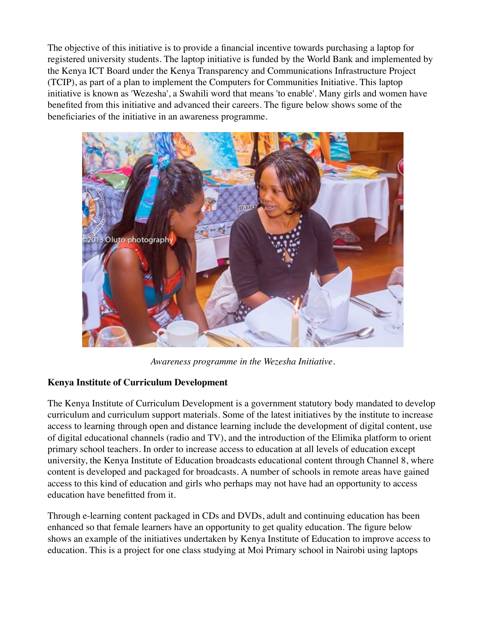The objective of this initiative is to provide a financial incentive towards purchasing a laptop for registered university students. The laptop initiative is funded by the World Bank and implemented by the Kenya ICT Board under the Kenya Transparency and Communications Infrastructure Project (TCIP), as part of a plan to implement the Computers for Communities Initiative. This laptop initiative is known as 'Wezesha', a Swahili word that means 'to enable'. Many girls and women have benefited from this initiative and advanced their careers. The figure below shows some of the beneficiaries of the initiative in an awareness programme.



*Awareness programme in the Wezesha Initiative.*

#### **Kenya Institute of Curriculum Development**

The Kenya Institute of Curriculum Development is a government statutory body mandated to develop curriculum and curriculum support materials. Some of the latest initiatives by the institute to increase access to learning through open and distance learning include the development of digital content, use of digital educational channels (radio and TV), and the introduction of the Elimika platform to orient primary school teachers. In order to increase access to education at all levels of education except university, the Kenya Institute of Education broadcasts educational content through Channel 8, where content is developed and packaged for broadcasts. A number of schools in remote areas have gained access to this kind of education and girls who perhaps may not have had an opportunity to access education have benefitted from it.

Through e-learning content packaged in CDs and DVDs, adult and continuing education has been enhanced so that female learners have an opportunity to get quality education. The figure below shows an example of the initiatives undertaken by Kenya Institute of Education to improve access to education. This is a project for one class studying at Moi Primary school in Nairobi using laptops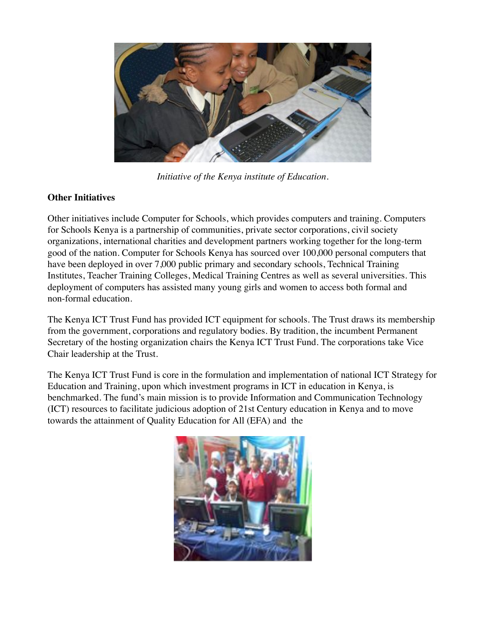

*Initiative of the Kenya institute of Education.*

#### **Other Initiatives**

Other initiatives include Computer for Schools, which provides computers and training. Computers for Schools Kenya is a partnership of communities, private sector corporations, civil society organizations, international charities and development partners working together for the long-term good of the nation. Computer for Schools Kenya has sourced over 100,000 personal computers that have been deployed in over 7,000 public primary and secondary schools, Technical Training Institutes, Teacher Training Colleges, Medical Training Centres as well as several universities. This deployment of computers has assisted many young girls and women to access both formal and non-formal education.

The Kenya ICT Trust Fund has provided ICT equipment for schools. The Trust draws its membership from the government, corporations and regulatory bodies. By tradition, the incumbent Permanent Secretary of the hosting organization chairs the Kenya ICT Trust Fund. The corporations take Vice Chair leadership at the Trust.

The Kenya ICT Trust Fund is core in the formulation and implementation of national ICT Strategy for Education and Training, upon which investment programs in ICT in education in Kenya, is benchmarked. The fund's main mission is to provide Information and Communication Technology (ICT) resources to facilitate judicious adoption of 21st Century education in Kenya and to move towards the attainment of Quality Education for All (EFA) and the

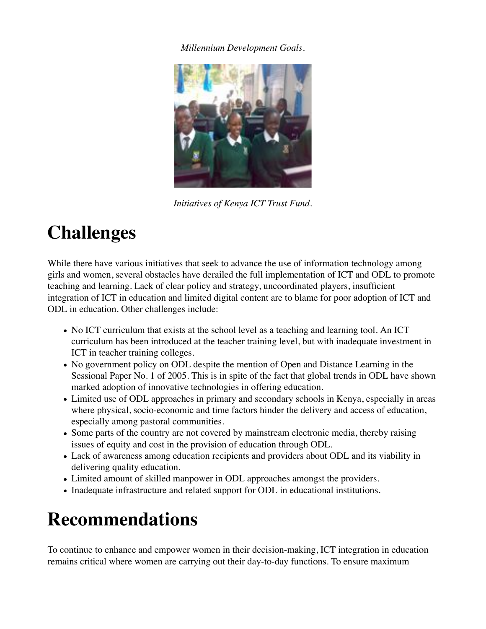#### *Millennium Development Goals.*



*Initiatives of Kenya ICT Trust Fund.*

## **Challenges**

While there have various initiatives that seek to advance the use of information technology among girls and women, several obstacles have derailed the full implementation of ICT and ODL to promote teaching and learning. Lack of clear policy and strategy, uncoordinated players, insufficient integration of ICT in education and limited digital content are to blame for poor adoption of ICT and ODL in education. Other challenges include:

- No ICT curriculum that exists at the school level as a teaching and learning tool. An ICT curriculum has been introduced at the teacher training level, but with inadequate investment in ICT in teacher training colleges.
- No government policy on ODL despite the mention of Open and Distance Learning in the Sessional Paper No. 1 of 2005. This is in spite of the fact that global trends in ODL have shown marked adoption of innovative technologies in offering education.
- Limited use of ODL approaches in primary and secondary schools in Kenya, especially in areas where physical, socio-economic and time factors hinder the delivery and access of education, especially among pastoral communities.
- Some parts of the country are not covered by mainstream electronic media, thereby raising issues of equity and cost in the provision of education through ODL.
- Lack of awareness among education recipients and providers about ODL and its viability in delivering quality education.
- Limited amount of skilled manpower in ODL approaches amongst the providers.
- Inadequate infrastructure and related support for ODL in educational institutions.

## **Recommendations**

To continue to enhance and empower women in their decision-making, ICT integration in education remains critical where women are carrying out their day-to-day functions. To ensure maximum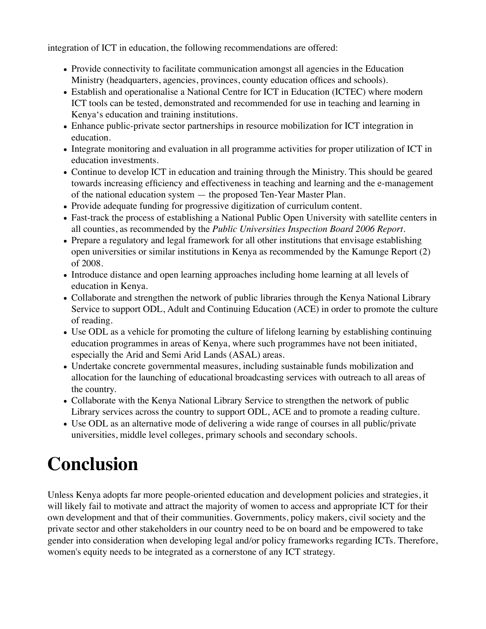integration of ICT in education, the following recommendations are offered:

- Provide connectivity to facilitate communication amongst all agencies in the Education Ministry (headquarters, agencies, provinces, county education offices and schools).
- Establish and operationalise a National Centre for ICT in Education (ICTEC) where modern ICT tools can be tested, demonstrated and recommended for use in teaching and learning in Kenya's education and training institutions.
- Enhance public-private sector partnerships in resource mobilization for ICT integration in education.
- Integrate monitoring and evaluation in all programme activities for proper utilization of ICT in education investments.
- Continue to develop ICT in education and training through the Ministry. This should be geared towards increasing efficiency and effectiveness in teaching and learning and the e-management of the national education system — the proposed Ten-Year Master Plan.
- Provide adequate funding for progressive digitization of curriculum content.
- Fast-track the process of establishing a National Public Open University with satellite centers in all counties, as recommended by the *Public Universities Inspection Board 2006 Report.*
- Prepare a regulatory and legal framework for all other institutions that envisage establishing open universities or similar institutions in Kenya as recommended by the Kamunge Report (2) of 2008.
- Introduce distance and open learning approaches including home learning at all levels of education in Kenya.
- Collaborate and strengthen the network of public libraries through the Kenya National Library Service to support ODL, Adult and Continuing Education (ACE) in order to promote the culture of reading.
- Use ODL as a vehicle for promoting the culture of lifelong learning by establishing continuing education programmes in areas of Kenya, where such programmes have not been initiated, especially the Arid and Semi Arid Lands (ASAL) areas.
- Undertake concrete governmental measures, including sustainable funds mobilization and allocation for the launching of educational broadcasting services with outreach to all areas of the country.
- Collaborate with the Kenya National Library Service to strengthen the network of public Library services across the country to support ODL, ACE and to promote a reading culture.
- Use ODL as an alternative mode of delivering a wide range of courses in all public/private universities, middle level colleges, primary schools and secondary schools.

# **Conclusion**

Unless Kenya adopts far more people-oriented education and development policies and strategies, it will likely fail to motivate and attract the majority of women to access and appropriate ICT for their own development and that of their communities. Governments, policy makers, civil society and the private sector and other stakeholders in our country need to be on board and be empowered to take gender into consideration when developing legal and/or policy frameworks regarding ICTs. Therefore, women's equity needs to be integrated as a cornerstone of any ICT strategy.